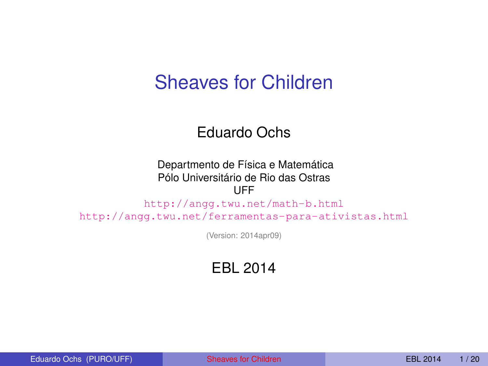#### Sheaves for Children

#### Eduardo Ochs

Departmento de Física e Matemática Pólo Universitário de Rio das Ostras UFF

<http://angg.twu.net/math-b.html>

<http://angg.twu.net/ferramentas-para-ativistas.html>

(Version: 2014apr09)

#### <span id="page-0-0"></span>EBL 2014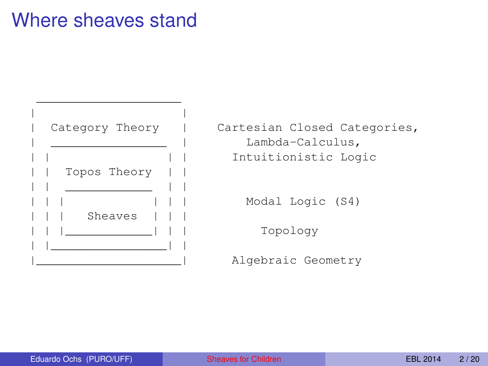#### Where sheaves stand

| | Topos Theory | | \_\_\_\_\_\_\_\_\_\_\_\_ | | Sheaves | |\_\_\_\_\_\_\_\_\_\_\_\_\_\_\_\_| |

\_\_\_\_\_\_\_\_\_\_\_\_\_\_\_\_\_\_\_\_

Category Theory | Cartesian Closed Categories, Lambda-Calculus, Intuitionistic Logic

Modal Logic (S4)

Topology

Algebraic Geometry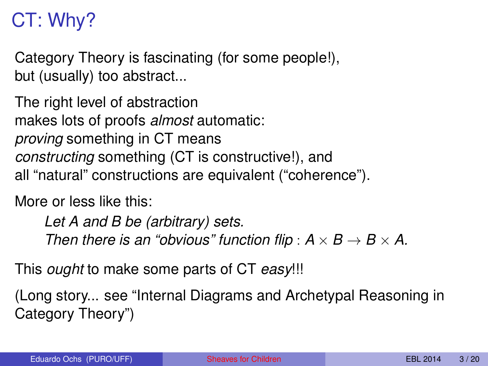# CT: Why?

Category Theory is fascinating (for some people!), but (usually) too abstract...

The right level of abstraction makes lots of proofs *almost* automatic: *proving* something in CT means *constructing* something (CT is constructive!), and all "natural" constructions are equivalent ("coherence").

More or less like this:

*Let A and B be (arbitrary) sets. Then there is an "obvious" function flip* :  $A \times B \rightarrow B \times A$ .

This *ought* to make some parts of CT *easy*!!!

(Long story... see "Internal Diagrams and Archetypal Reasoning in Category Theory")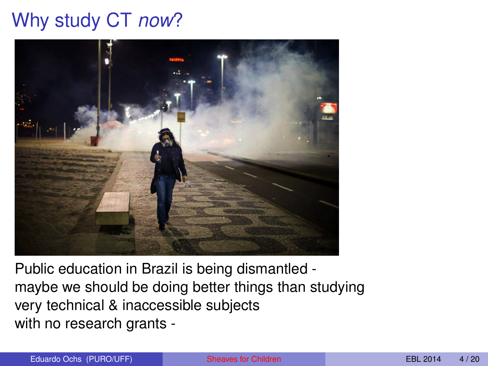# Why study CT *now*?



Public education in Brazil is being dismantled maybe we should be doing better things than studying very technical & inaccessible subjects with no research grants -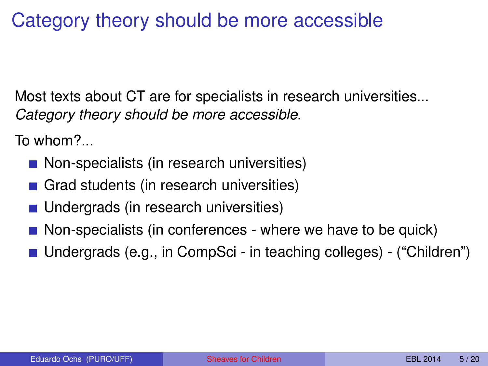## Category theory should be more accessible

Most texts about CT are for specialists in research universities... *Category theory should be more accessible.*

To whom?...

- Non-specialists (in research universities)
- Grad students (in research universities)
- Undergrads (in research universities)
- **Non-specialists (in conferences where we have to be quick)**
- Undergrads (e.g., in CompSci in teaching colleges) ("Children")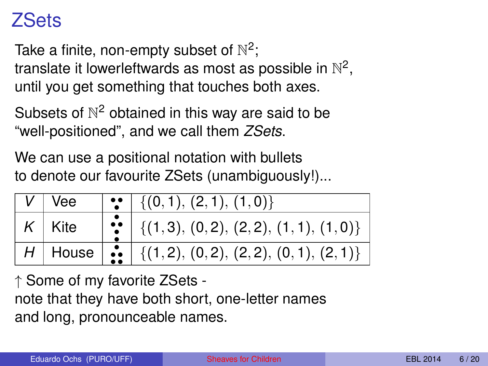### ZSets

Take a finite, non-empty subset of  $\mathbb{N}^2;$ 

translate it lowerleftwards as most as possible in  $\mathbb{N}^2,$ until you get something that touches both axes.

Subsets of  $\mathbb{N}^2$  obtained in this way are said to be "well-positioned", and we call them *ZSets*.

We can use a positional notation with bullets to denote our favourite ZSets (unambiguously!)...

| V∣Vee                   | $\left\{ \left(0,1\right),\left(2,1\right),\left(1,0\right)\right\}$                                                      |
|-------------------------|---------------------------------------------------------------------------------------------------------------------------|
| $\left  K \right $ Kite | $\left  \begin{array}{c} \bullet \\ \bullet \\ \bullet \end{array} \right $ {(1,3), (0,2), (2,2), (1,1), (1,0)}           |
|                         | $H$ House $\begin{array}{ c c c c }\hline H&\text{House} & \text{if (1,2), (0,2), (2,2), (0,1), (2,1)}\hline \end{array}$ |

↑ Some of my favorite ZSets note that they have both short, one-letter names and long, pronounceable names.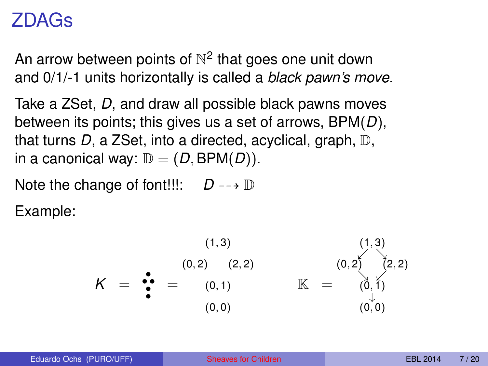#### ZDAGs

An arrow between points of  $\mathbb{N}^2$  that goes one unit down and 0/1/-1 units horizontally is called a *black pawn's move*.

Take a ZSet, *D*, and draw all possible black pawns moves between its points; this gives us a set of arrows, BPM(*D*), that turns *D*, a ZSet, into a directed, acyclical, graph, D, in a canonical way:  $\mathbb{D} = (D, \text{BPM}(D)).$ 

Note the change of font!!!:  $D \rightarrow \mathbb{D}$ 

Example:

*K* = • • • • • = (1, 3) (0, 2) (2, 2) (0, 1) (0, 0) K = (1, 3) (0, 2) (2, 2) (0, 1) (0, 0) . & & . ↓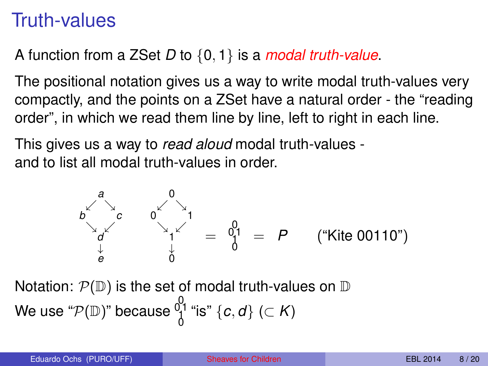### Truth-values

#### A function from a ZSet *D* to {0, 1} is a *modal truth-value*.

The positional notation gives us a way to write modal truth-values very compactly, and the points on a ZSet have a natural order - the "reading order", in which we read them line by line, left to right in each line.

This gives us a way to *read aloud* modal truth-values and to list all modal truth-values in order.

$$
b \begin{matrix} a & 0 \\ b & 1 \\ c & 0 \end{matrix} = P \qquad (* \text{Kite 00110}^n)
$$

Notation:  $\mathcal{P}(\mathbb{D})$  is the set of modal truth-values on  $\mathbb D$ We use " $\mathcal{P}(\mathbb{D})$ " because  $\smallint_{0}^{0}$ 1 "is"  $\lbrace c,d \rbrace$  ( $\subset$   $K)$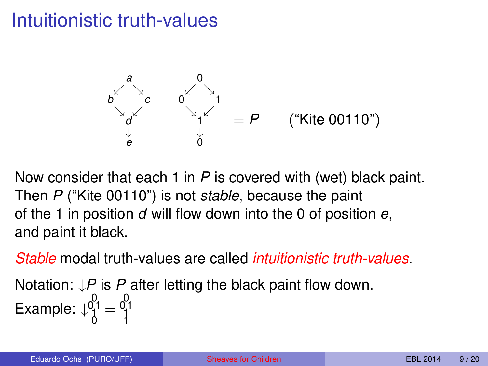## Intuitionistic truth-values



Now consider that each 1 in *P* is covered with (wet) black paint. Then *P* ("Kite 00110") is not *stable*, because the paint of the 1 in position *d* will flow down into the 0 of position *e*, and paint it black.

*Stable* modal truth-values are called *intuitionistic truth-values*.

Notation: ↓*P* is *P* after letting the black paint flow down. Example:  $\downarrow_0^{0,1} = \begin{bmatrix} 0 & 0 \\ 1 & 1 \end{bmatrix}$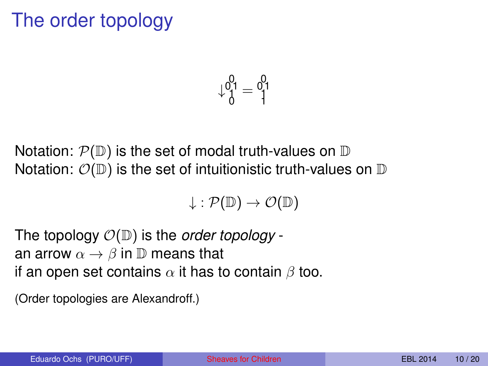## The order topology

$$
\downarrow^{0,1}_0=\begin{smallmatrix}0\\1\\1\end{smallmatrix}
$$

Notation:  $\mathcal{P}(\mathbb{D})$  is the set of modal truth-values on  $\mathbb D$ Notation:  $\mathcal{O}(\mathbb{D})$  is the set of intuitionistic truth-values on  $\mathbb D$ 

$$
\downarrow: \mathcal{P}(\mathbb{D}) \to \mathcal{O}(\mathbb{D})
$$

The topology O(D) is the *order topology* an arrow  $\alpha \rightarrow \beta$  in  $\mathbb D$  means that if an open set contains  $\alpha$  it has to contain  $\beta$  too.

(Order topologies are Alexandroff.)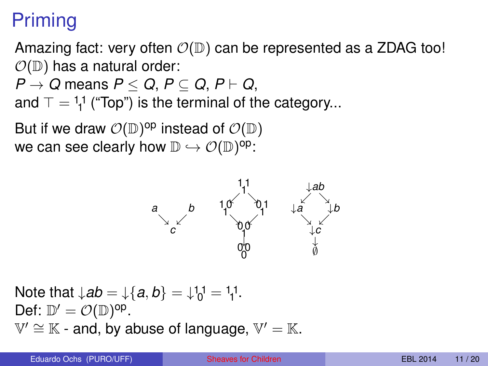# Priming

Amazing fact: very often  $\mathcal{O}(\mathbb{D})$  can be represented as a ZDAG too!  $\mathcal{O}(\mathbb{D})$  has a natural order:

$$
P\rightarrow Q\text{ means }P\leq Q,\,P\subseteq Q,\,P\vdash Q,
$$

and  $\top = \frac{1}{1}$  ("Top") is the terminal of the category...

But if we draw  $\mathcal{O}(\mathbb{D})^{\mathsf{op}}$  instead of  $\mathcal{O}(\mathbb{D})$ we can see clearly how  $\mathbb{D}\hookrightarrow \mathcal{O}(\mathbb{D})^{\mathsf{op}}$ :



Note that  $\downarrow$ *ab* =  $\downarrow$ {*a*, *b*} =  $\downarrow$ <sup>1</sup><sub>0</sub><sup>1</sup> = <sup>1</sup><sub>1</sub><sup>1</sup>. Def:  $\mathbb{D}' = \mathcal{O}(\mathbb{D})^{\text{op}}$ .  $\mathbb{V}' \cong \mathbb{K}$  - and, by abuse of language,  $\mathbb{V}' = \mathbb{K}$ .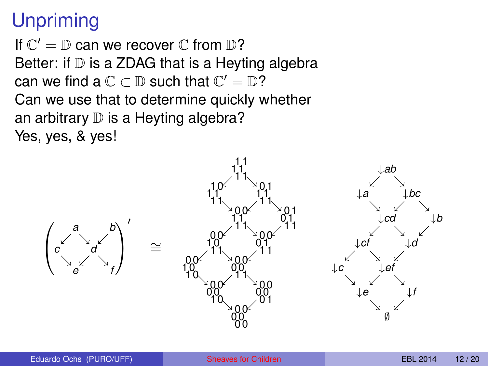# **Unpriming**

If  $\mathbb{C}' = \mathbb{D}$  can we recover  $\mathbb{C}$  from  $\mathbb{D}$ ? Better: if  $D$  is a ZDAG that is a Heyting algebra can we find a  $\mathbb{C} \subset \mathbb{D}$  such that  $\mathbb{C}' = \mathbb{D}$ ? Can we use that to determine quickly whether an arbitrary  $D$  is a Heyting algebra? Yes, yes, & yes!

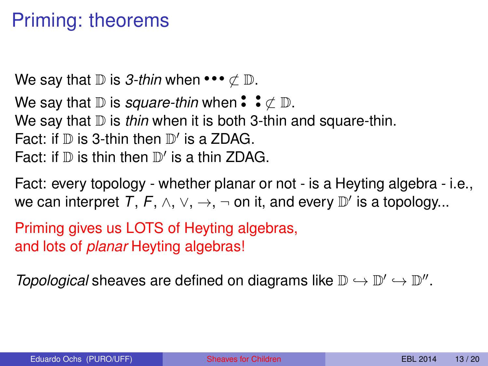## Priming: theorems

We say that  $\mathbb D$  is *3-thin* when •••  $\not\subset \mathbb D$ . We say that  $\mathbb D$  is *square-thin* when  $\mathbf{\hat{}}$  :  $\neq \mathbb D$ . We say that  $D$  is *thin* when it is both 3-thin and square-thin. Fact: if  $D$  is 3-thin then  $D'$  is a ZDAG. Fact: if  $D$  is thin then  $D'$  is a thin ZDAG.

Fact: every topology - whether planar or not - is a Heyting algebra - i.e., we can interpret  $T, F, \wedge, \vee, \rightarrow, \neg$  on it, and every  $\mathbb{D}'$  is a topology...

Priming gives us LOTS of Heyting algebras, and lots of *planar* Heyting algebras!

*Topological* sheaves are defined on diagrams like  $\mathbb{D} \hookrightarrow \mathbb{D}' \hookrightarrow \mathbb{D}''$ .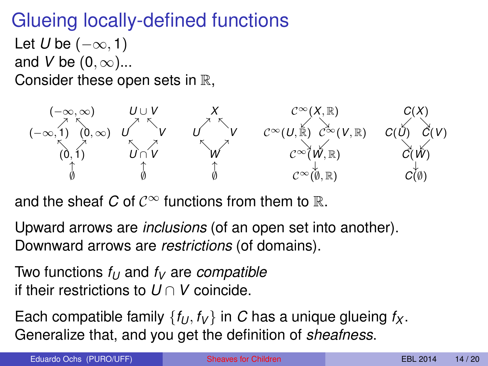# Glueing locally-defined functions

Let *U* be  $(-\infty, 1)$ and *V* be  $(0, \infty)$ ... Consider these open sets in R,



and the sheaf *C* of  $\mathcal{C}^{\infty}$  functions from them to R.

Upward arrows are *inclusions* (of an open set into another). Downward arrows are *restrictions* (of domains).

Two functions  $f_{U}$  and  $f_{V}$  are *compatible* if their restrictions to *U* ∩ *V* coincide.

Each compatible family  $\{f_U, f_V\}$  in C has a unique glueing  $f_X$ . Generalize that, and you get the definition of *sheafness*.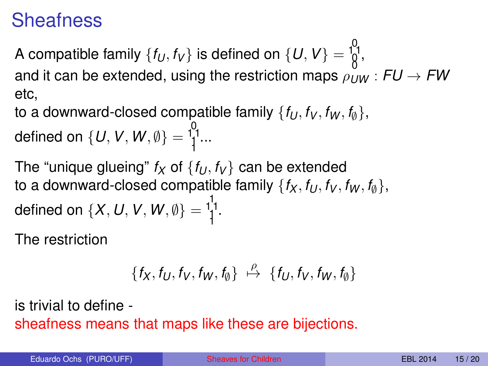#### **Sheafness**

A compatible family  $\{f_U, f_V\}$  is defined on  $\{U, V\} = \begin{bmatrix} 0 \\ 1 \\ 0 \end{bmatrix}$ and it can be extended, using the restriction maps  $\rho_{IW}$  :  $FU \rightarrow FW$ etc,

to a downward-closed compatible family  $\{f_U, f_V, f_W, f_{\phi}\}\$ defined on  $\{U, V, W, \emptyset\} = \begin{cases} 0 & \text{if } 0 & \text{if } 0 & \text{if } 0 & \text{if } 0 \end{cases}$ 

The "unique glueing"  $f_X$  of  $\{f_U, f_V\}$  can be extended to a downward-closed compatible family  $\{f_X, f_U, f_V, f_W, f_{\phi}\},\$ defined on  $\{X, U, V, W, \emptyset\} = \frac{1}{1}^{1}$ .

The restriction

$$
\{f_X,f_U,f_V,f_W,f_{\emptyset}\} \ \stackrel{\rho}{\mapsto} \ \{f_U,f_V,f_W,f_{\emptyset}\}
$$

is trivial to define sheafness means that maps like these are bijections.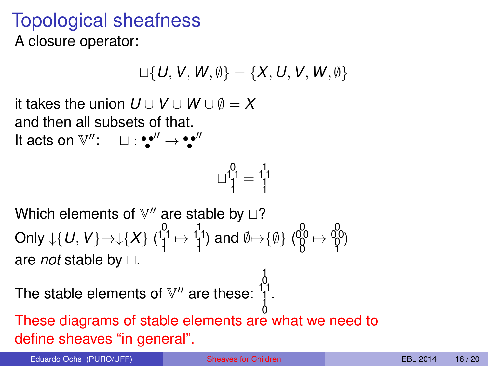## Topological sheafness

A closure operator:

$$
\sqcup \{U,V,W,\emptyset\} = \{X,U,V,W,\emptyset\}
$$

it takes the union  $U \cup V \cup W \cup \emptyset = X$ and then all subsets of that. It acts on  $\mathbb{V}''$ :  $\Box$ :::'''  $\rightarrow$ :'''

$$
\sqcup\substack{1\\1\\1}^0=\substack{1\\1\\1}
$$

Which elements of  $\mathbb{V}''$  are stable by  $\sqcup$ ? Only  $\downarrow$  {  $U, V$ } $\mapsto$   $\downarrow$  { $X$ } ( $\frac{1}{1}$ <sup>1</sup> $\mapsto$   $\frac{1}{1}$ <sup>1</sup>) and Ø $\mapsto$  {Ø} ( $\frac{0}{9}$  $\mapsto$   $\frac{0}{9}$  $\uparrow$ ) are *not* stable by  $\sqcup$ .

The stable elements of  $\mathbb{V}''$  are these:  $\begin{bmatrix} 1 \\ 1 \\ 1 \end{bmatrix}$ 

0 These diagrams of stable elements are what we need to define sheaves "in general".

Eduardo Ochs (PURO/UFF) [Sheaves for Children](#page-0-0) EBL 2014 16 / 20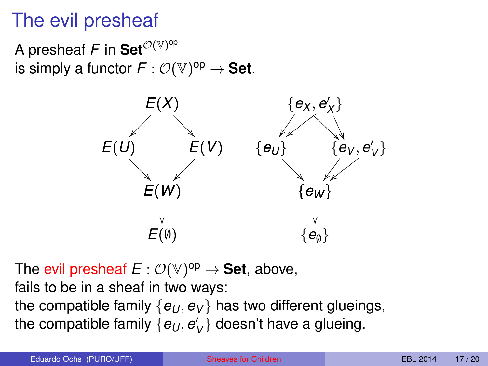# The evil presheaf

A presheaf  $\mathsf F$  in  $\mathsf{Set}^{{\mathcal{O}}(\mathbb{V})^{\mathsf{op}}}$ is simply a functor  $F: \mathcal{O}(\mathbb{V})^{\mathsf{op}} \to \mathsf{Set}.$ 



The evil presheaf  $E: \mathcal{O}(\mathbb{V})^{\mathsf{op}} \to \mathsf{Set}$ , above, fails to be in a sheaf in two ways: the compatible family  $\{e_U, e_V\}$  has two different glueings, the compatible family  $\{e_{U},e_{V}^{\prime}\}$  doesn't have a glueing.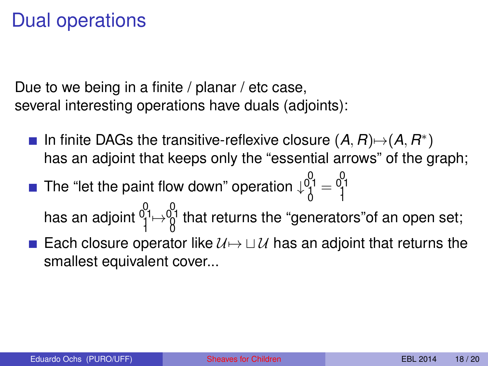## Dual operations

Due to we being in a finite / planar / etc case, several interesting operations have duals (adjoints):

- In finite DAGs the transitive-reflexive closure  $(A, R) \rightarrow (A, R^*)$ has an adjoint that keeps only the "essential arrows" of the graph;
- The "let the paint flow down" operation  $\downarrow^{0}_{0}^{0}_{1} = \frac{0}{1}^{0}$ 
	- has an adjoint  $0_1^0$   $\mapsto \begin{matrix} 0\ 1\end{matrix}$  that returns the "generators"of an open set;
- Each closure operator like  $U \mapsto \cup U$  has an adjoint that returns the smallest equivalent cover...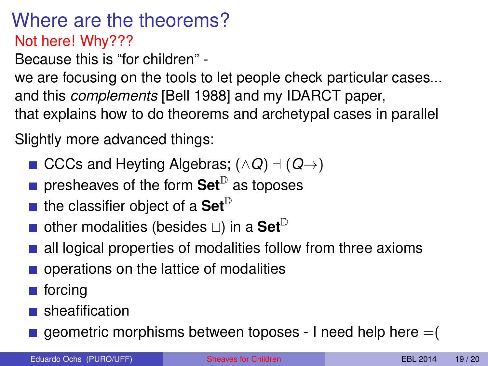Where are the theorems? Not here! Why???

Because this is "for children" -

we are focusing on the tools to let people check particular cases... and this *complements* [Bell 1988] and my IDARCT paper, that explains how to do theorems and archetypal cases in parallel

Slightly more advanced things:

- CCCs and Heyting Algebras;  $( \land Q ) \dashv (Q \rightarrow )$
- presheaves of the form **Set**<sup>D</sup> as toposes
- $\blacksquare$  the classifier object of a Set<sup> $\mathbb D$ </sup>
- **other modalities (besides**  $\Box$ **) in a Set**<sup>D</sup>
- all logical properties of modalities follow from three axioms
- operations on the lattice of modalities
- **■** forcing
- sheafification
- $\blacksquare$  geometric morphisms between toposes I need help here  $=(\blacksquare)$